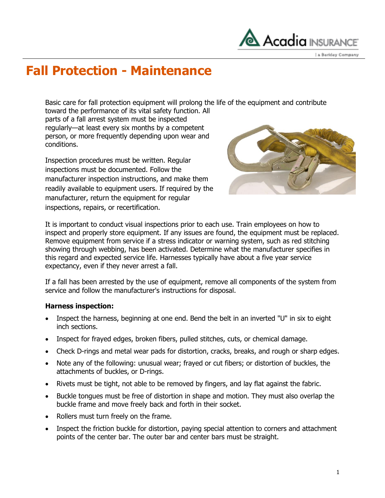

# **Fall Protection - Maintenance**

Basic care for fall protection equipment will prolong the life of the equipment and contribute

toward the performance of its vital safety function. All parts of a fall arrest system must be inspected regularly—at least every six months by a competent person, or more frequently depending upon wear and conditions.

Inspection procedures must be written. Regular inspections must be documented. Follow the manufacturer inspection instructions, and make them readily available to equipment users. If required by the manufacturer, return the equipment for regular inspections, repairs, or recertification.



It is important to conduct visual inspections prior to each use. Train employees on how to inspect and properly store equipment. If any issues are found, the equipment must be replaced. Remove equipment from service if a stress indicator or warning system, such as red stitching showing through webbing, has been activated. Determine what the manufacturer specifies in this regard and expected service life. Harnesses typically have about a five year service expectancy, even if they never arrest a fall.

If a fall has been arrested by the use of equipment, remove all components of the system from service and follow the manufacturer's instructions for disposal.

### **Harness inspection:**

- Inspect the harness, beginning at one end. Bend the belt in an inverted "U" in six to eight inch sections.
- Inspect for frayed edges, broken fibers, pulled stitches, cuts, or chemical damage.
- Check D-rings and metal wear pads for distortion, cracks, breaks, and rough or sharp edges.
- Note any of the following: unusual wear; frayed or cut fibers; or distortion of buckles, the attachments of buckles, or D-rings.
- Rivets must be tight, not able to be removed by fingers, and lay flat against the fabric.
- Buckle tongues must be free of distortion in shape and motion. They must also overlap the buckle frame and move freely back and forth in their socket.
- Rollers must turn freely on the frame.
- Inspect the friction buckle for distortion, paying special attention to corners and attachment points of the center bar. The outer bar and center bars must be straight.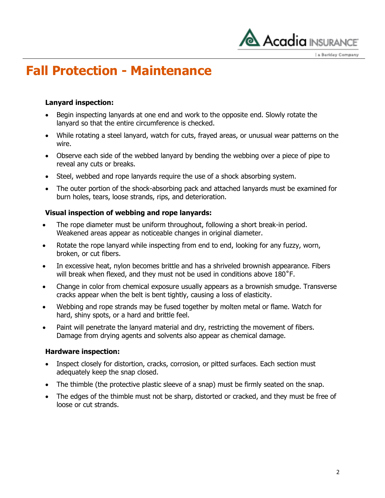

# **Fall Protection - Maintenance**

### **Lanyard inspection:**

- Begin inspecting lanyards at one end and work to the opposite end. Slowly rotate the lanyard so that the entire circumference is checked.
- While rotating a steel lanyard, watch for cuts, frayed areas, or unusual wear patterns on the wire.
- Observe each side of the webbed lanyard by bending the webbing over a piece of pipe to reveal any cuts or breaks.
- Steel, webbed and rope lanyards require the use of a shock absorbing system.
- The outer portion of the shock-absorbing pack and attached lanyards must be examined for burn holes, tears, loose strands, rips, and deterioration.

## **Visual inspection of webbing and rope lanyards:**

- The rope diameter must be uniform throughout, following a short break-in period. Weakened areas appear as noticeable changes in original diameter.
- Rotate the rope lanyard while inspecting from end to end, looking for any fuzzy, worn, broken, or cut fibers.
- In excessive heat, nylon becomes brittle and has a shriveled brownish appearance. Fibers will break when flexed, and they must not be used in conditions above 180<sup>°</sup>F.
- Change in color from chemical exposure usually appears as a brownish smudge. Transverse cracks appear when the belt is bent tightly, causing a loss of elasticity.
- Webbing and rope strands may be fused together by molten metal or flame. Watch for hard, shiny spots, or a hard and brittle feel.
- Paint will penetrate the lanyard material and dry, restricting the movement of fibers. Damage from drying agents and solvents also appear as chemical damage.

### **Hardware inspection:**

- Inspect closely for distortion, cracks, corrosion, or pitted surfaces. Each section must adequately keep the snap closed.
- The thimble (the protective plastic sleeve of a snap) must be firmly seated on the snap.
- The edges of the thimble must not be sharp, distorted or cracked, and they must be free of loose or cut strands.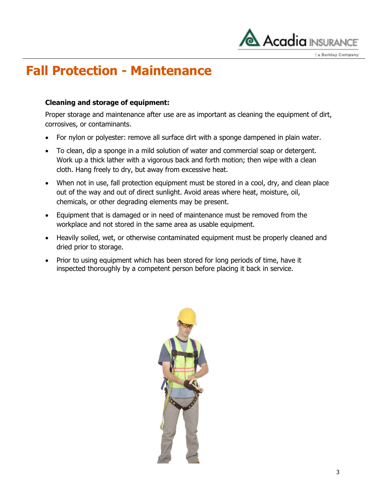

# **Fall Protection - Maintenance**

### **Cleaning and storage of equipment:**

Proper storage and maintenance after use are as important as cleaning the equipment of dirt, corrosives, or contaminants.

- For nylon or polyester: remove all surface dirt with a sponge dampened in plain water.
- To clean, dip a sponge in a mild solution of water and commercial soap or detergent. Work up a thick lather with a vigorous back and forth motion; then wipe with a clean cloth. Hang freely to dry, but away from excessive heat.
- When not in use, fall protection equipment must be stored in a cool, dry, and clean place out of the way and out of direct sunlight. Avoid areas where heat, moisture, oil, chemicals, or other degrading elements may be present.
- Equipment that is damaged or in need of maintenance must be removed from the workplace and not stored in the same area as usable equipment.
- Heavily soiled, wet, or otherwise contaminated equipment must be properly cleaned and dried prior to storage.
- Prior to using equipment which has been stored for long periods of time, have it inspected thoroughly by a competent person before placing it back in service.